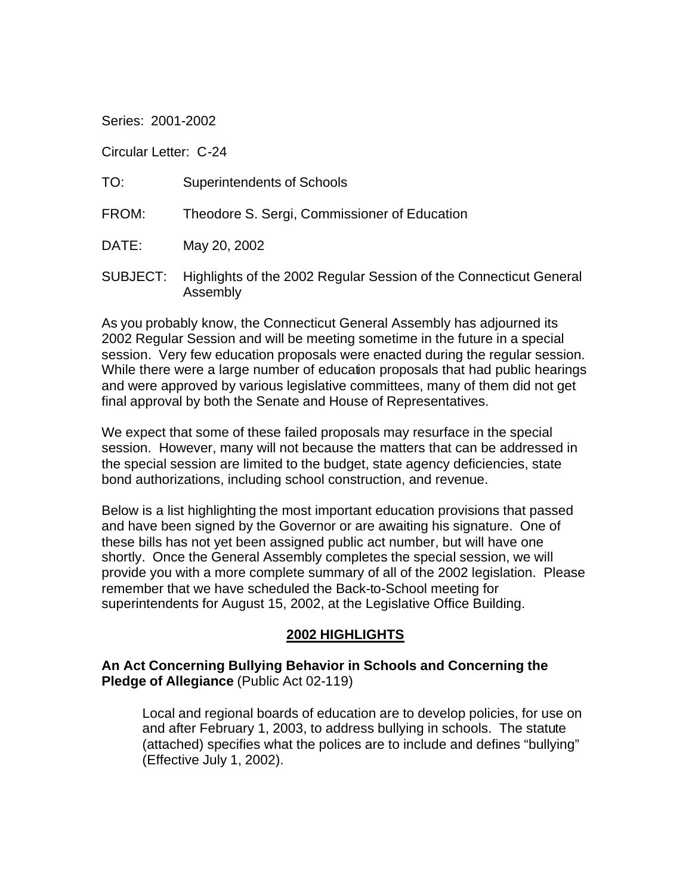Series: 2001-2002

Circular Letter: C-24

| TO:   | <b>Superintendents of Schools</b>                                                      |
|-------|----------------------------------------------------------------------------------------|
| FROM: | Theodore S. Sergi, Commissioner of Education                                           |
| DATE: | May 20, 2002                                                                           |
|       | SUBJECT: Highlights of the 2002 Regular Session of the Connecticut General<br>Assembly |

As you probably know, the Connecticut General Assembly has adjourned its 2002 Regular Session and will be meeting sometime in the future in a special session. Very few education proposals were enacted during the regular session. While there were a large number of education proposals that had public hearings and were approved by various legislative committees, many of them did not get final approval by both the Senate and House of Representatives.

We expect that some of these failed proposals may resurface in the special session. However, many will not because the matters that can be addressed in the special session are limited to the budget, state agency deficiencies, state bond authorizations, including school construction, and revenue.

Below is a list highlighting the most important education provisions that passed and have been signed by the Governor or are awaiting his signature. One of these bills has not yet been assigned public act number, but will have one shortly. Once the General Assembly completes the special session, we will provide you with a more complete summary of all of the 2002 legislation. Please remember that we have scheduled the Back-to-School meeting for superintendents for August 15, 2002, at the Legislative Office Building.

#### **2002 HIGHLIGHTS**

**An Act Concerning Bullying Behavior in Schools and Concerning the Pledge of Allegiance** (Public Act 02-119)

Local and regional boards of education are to develop policies, for use on and after February 1, 2003, to address bullying in schools. The statute (attached) specifies what the polices are to include and defines "bullying" (Effective July 1, 2002).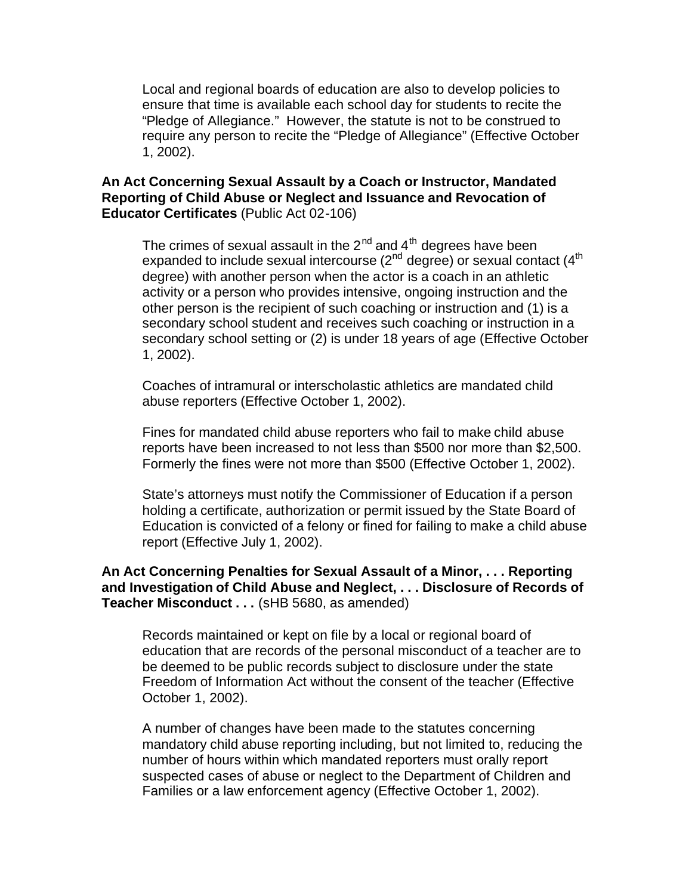Local and regional boards of education are also to develop policies to ensure that time is available each school day for students to recite the "Pledge of Allegiance." However, the statute is not to be construed to require any person to recite the "Pledge of Allegiance" (Effective October 1, 2002).

#### **An Act Concerning Sexual Assault by a Coach or Instructor, Mandated Reporting of Child Abuse or Neglect and Issuance and Revocation of Educator Certificates** (Public Act 02-106)

The crimes of sexual assault in the  $2^{nd}$  and  $4^{th}$  degrees have been expanded to include sexual intercourse ( $2^{nd}$  degree) or sexual contact ( $4^{th}$ ) degree) with another person when the actor is a coach in an athletic activity or a person who provides intensive, ongoing instruction and the other person is the recipient of such coaching or instruction and (1) is a secondary school student and receives such coaching or instruction in a secondary school setting or (2) is under 18 years of age (Effective October 1, 2002).

Coaches of intramural or interscholastic athletics are mandated child abuse reporters (Effective October 1, 2002).

Fines for mandated child abuse reporters who fail to make child abuse reports have been increased to not less than \$500 nor more than \$2,500. Formerly the fines were not more than \$500 (Effective October 1, 2002).

State's attorneys must notify the Commissioner of Education if a person holding a certificate, authorization or permit issued by the State Board of Education is convicted of a felony or fined for failing to make a child abuse report (Effective July 1, 2002).

#### **An Act Concerning Penalties for Sexual Assault of a Minor, . . . Reporting and Investigation of Child Abuse and Neglect, . . . Disclosure of Records of Teacher Misconduct . . .** (sHB 5680, as amended)

Records maintained or kept on file by a local or regional board of education that are records of the personal misconduct of a teacher are to be deemed to be public records subject to disclosure under the state Freedom of Information Act without the consent of the teacher (Effective October 1, 2002).

A number of changes have been made to the statutes concerning mandatory child abuse reporting including, but not limited to, reducing the number of hours within which mandated reporters must orally report suspected cases of abuse or neglect to the Department of Children and Families or a law enforcement agency (Effective October 1, 2002).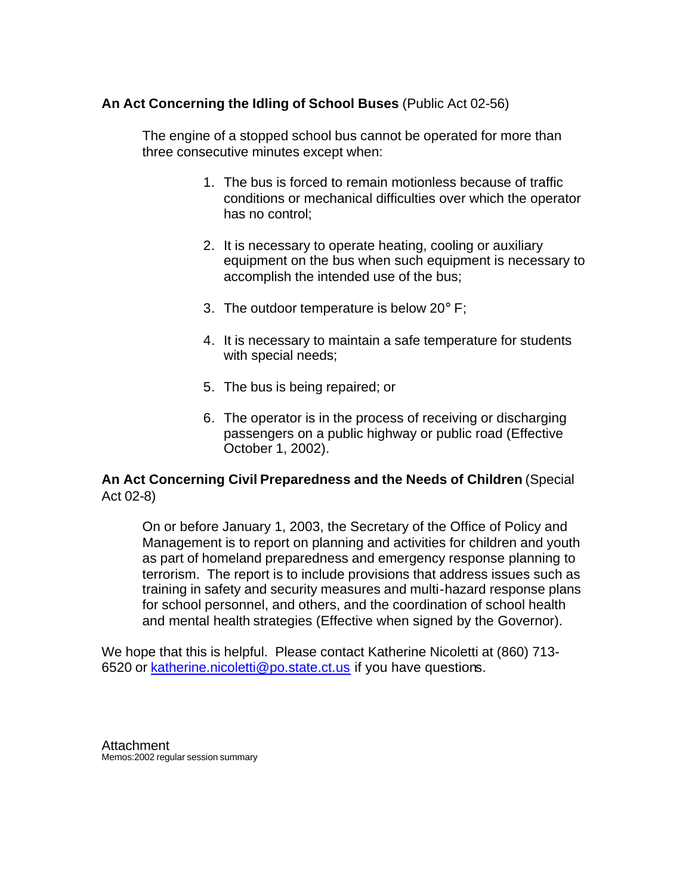## **An Act Concerning the Idling of School Buses** (Public Act 02-56)

The engine of a stopped school bus cannot be operated for more than three consecutive minutes except when:

- 1. The bus is forced to remain motionless because of traffic conditions or mechanical difficulties over which the operator has no control;
- 2. It is necessary to operate heating, cooling or auxiliary equipment on the bus when such equipment is necessary to accomplish the intended use of the bus;
- 3. The outdoor temperature is below  $20^\circ$  F;
- 4. It is necessary to maintain a safe temperature for students with special needs;
- 5. The bus is being repaired; or
- 6. The operator is in the process of receiving or discharging passengers on a public highway or public road (Effective October 1, 2002).

## **An Act Concerning Civil Preparedness and the Needs of Children** (Special Act 02-8)

On or before January 1, 2003, the Secretary of the Office of Policy and Management is to report on planning and activities for children and youth as part of homeland preparedness and emergency response planning to terrorism. The report is to include provisions that address issues such as training in safety and security measures and multi-hazard response plans for school personnel, and others, and the coordination of school health and mental health strategies (Effective when signed by the Governor).

We hope that this is helpful. Please contact Katherine Nicoletti at (860) 713- 6520 or katherine.nicoletti@po.state.ct.us if you have questions.

**Attachment** Memos:2002 regular session summary